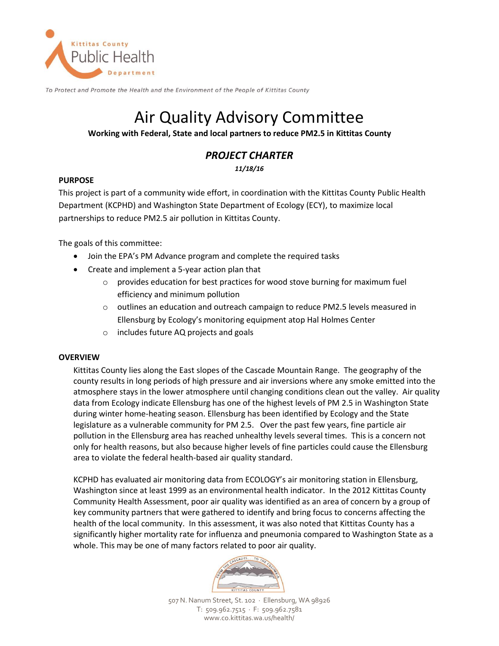

To Protect and Promote the Health and the Environment of the People of Kittitas County

# Air Quality Advisory Committee

### **Working with Federal, State and local partners to reduce PM2.5 in Kittitas County**

# *PROJECT CHARTER*

*11/18/16*

# **PURPOSE**

This project is part of a community wide effort, in coordination with the Kittitas County Public Health Department (KCPHD) and Washington State Department of Ecology (ECY), to maximize local partnerships to reduce PM2.5 air pollution in Kittitas County.

The goals of this committee:

- Join the EPA's PM Advance program and complete the required tasks
- Create and implement a 5-year action plan that
	- o provides education for best practices for wood stove burning for maximum fuel efficiency and minimum pollution
	- $\circ$  outlines an education and outreach campaign to reduce PM2.5 levels measured in Ellensburg by Ecology's monitoring equipment atop Hal Holmes Center
	- o includes future AQ projects and goals

#### **OVERVIEW**

Kittitas County lies along the East slopes of the Cascade Mountain Range. The geography of the county results in long periods of high pressure and air inversions where any smoke emitted into the atmosphere stays in the lower atmosphere until changing conditions clean out the valley. Air quality data from Ecology indicate Ellensburg has one of the highest levels of PM 2.5 in Washington State during winter home-heating season. Ellensburg has been identified by Ecology and the State legislature as a vulnerable community for PM 2.5. Over the past few years, fine particle air pollution in the Ellensburg area has reached unhealthy levels several times. This is a concern not only for health reasons, but also because higher levels of fine particles could cause the Ellensburg area to violate the federal health-based air quality standard.

KCPHD has evaluated air monitoring data from ECOLOGY's air monitoring station in Ellensburg, Washington since at least 1999 as an environmental health indicator. In the 2012 Kittitas County Community Health Assessment, poor air quality was identified as an area of concern by a group of key community partners that were gathered to identify and bring focus to concerns affecting the health of the local community. In this assessment, it was also noted that Kittitas County has a significantly higher mortality rate for influenza and pneumonia compared to Washington State as a whole. This may be one of many factors related to poor air quality.



507 N. Nanum Street, St. 102 · Ellensburg, WA 98926 T: 509.962.7515 · F: 509.962.7581 www.co.kittitas.wa.us/health/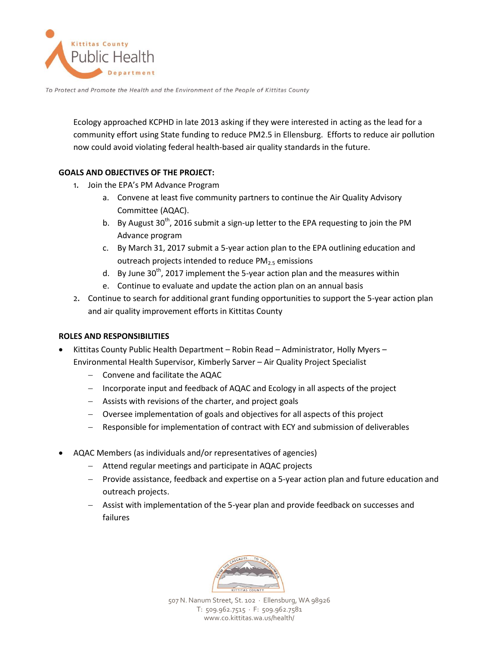

To Protect and Promote the Health and the Environment of the People of Kittitas County

Ecology approached KCPHD in late 2013 asking if they were interested in acting as the lead for a community effort using State funding to reduce PM2.5 in Ellensburg. Efforts to reduce air pollution now could avoid violating federal health-based air quality standards in the future.

# **GOALS AND OBJECTIVES OF THE PROJECT:**

- 1. Join the EPA's PM Advance Program
	- a. Convene at least five community partners to continue the Air Quality Advisory Committee (AQAC).
	- b. By August  $30<sup>th</sup>$ , 2016 submit a sign-up letter to the EPA requesting to join the PM Advance program
	- c. By March 31, 2017 submit a 5-year action plan to the EPA outlining education and outreach projects intended to reduce  $PM<sub>2.5</sub>$  emissions
	- d. By June 30<sup>th</sup>, 2017 implement the 5-year action plan and the measures within
	- e. Continue to evaluate and update the action plan on an annual basis
- 2. Continue to search for additional grant funding opportunities to support the 5-year action plan and air quality improvement efforts in Kittitas County

#### **ROLES AND RESPONSIBILITIES**

- Kittitas County Public Health Department Robin Read Administrator, Holly Myers Environmental Health Supervisor, Kimberly Sarver – Air Quality Project Specialist
	- Convene and facilitate the AQAC
	- Incorporate input and feedback of AQAC and Ecology in all aspects of the project
	- Assists with revisions of the charter, and project goals
	- Oversee implementation of goals and objectives for all aspects of this project
	- Responsible for implementation of contract with ECY and submission of deliverables
- AQAC Members (as individuals and/or representatives of agencies)
	- Attend regular meetings and participate in AQAC projects
	- Provide assistance, feedback and expertise on a 5-year action plan and future education and outreach projects.
	- Assist with implementation of the 5-year plan and provide feedback on successes and failures



507 N. Nanum Street, St. 102 · Ellensburg, WA 98926 T: 509.962.7515 · F: 509.962.7581 www.co.kittitas.wa.us/health/